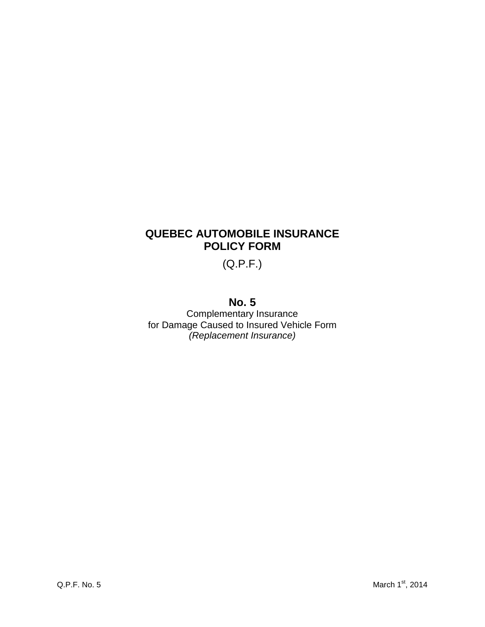# **QUEBEC AUTOMOBILE INSURANCE POLICY FORM**

(Q.P.F.)

# **No. 5**

Complementary Insurance for Damage Caused to Insured Vehicle Form *(Replacement Insurance)*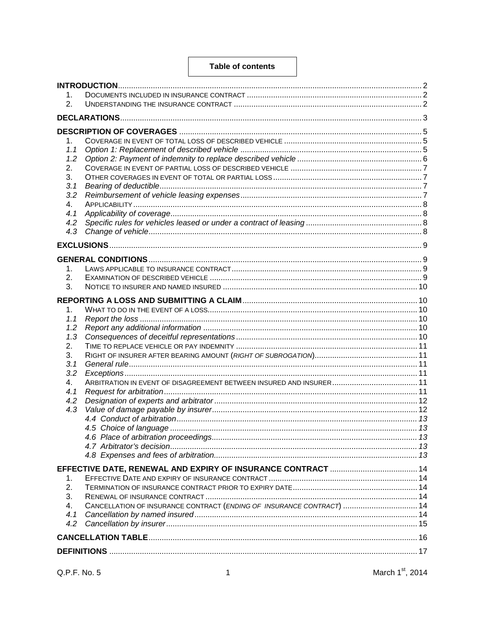#### **Table of contents**

| 1.        |                                                                       |  |  |  |  |  |  |
|-----------|-----------------------------------------------------------------------|--|--|--|--|--|--|
| 2.        |                                                                       |  |  |  |  |  |  |
|           |                                                                       |  |  |  |  |  |  |
|           |                                                                       |  |  |  |  |  |  |
| 1.        |                                                                       |  |  |  |  |  |  |
| 1.1       |                                                                       |  |  |  |  |  |  |
| 1.2       |                                                                       |  |  |  |  |  |  |
| 2.        |                                                                       |  |  |  |  |  |  |
| 3.        |                                                                       |  |  |  |  |  |  |
| 3.1       |                                                                       |  |  |  |  |  |  |
| 3.2       |                                                                       |  |  |  |  |  |  |
| 4.        |                                                                       |  |  |  |  |  |  |
| 4.1       |                                                                       |  |  |  |  |  |  |
| 4.2       |                                                                       |  |  |  |  |  |  |
| 4.3       |                                                                       |  |  |  |  |  |  |
|           |                                                                       |  |  |  |  |  |  |
|           |                                                                       |  |  |  |  |  |  |
| 1.        |                                                                       |  |  |  |  |  |  |
| 2.        |                                                                       |  |  |  |  |  |  |
| 3.        |                                                                       |  |  |  |  |  |  |
|           |                                                                       |  |  |  |  |  |  |
|           |                                                                       |  |  |  |  |  |  |
| 1.        |                                                                       |  |  |  |  |  |  |
| 1.1       |                                                                       |  |  |  |  |  |  |
| 1.2       |                                                                       |  |  |  |  |  |  |
| 1.3<br>2. |                                                                       |  |  |  |  |  |  |
| 3.        |                                                                       |  |  |  |  |  |  |
| 3.1       |                                                                       |  |  |  |  |  |  |
| 3.2       |                                                                       |  |  |  |  |  |  |
| 4.        |                                                                       |  |  |  |  |  |  |
| 4.1       |                                                                       |  |  |  |  |  |  |
| 4.2       |                                                                       |  |  |  |  |  |  |
| 4.3       |                                                                       |  |  |  |  |  |  |
|           |                                                                       |  |  |  |  |  |  |
|           |                                                                       |  |  |  |  |  |  |
|           |                                                                       |  |  |  |  |  |  |
|           |                                                                       |  |  |  |  |  |  |
|           |                                                                       |  |  |  |  |  |  |
|           |                                                                       |  |  |  |  |  |  |
| 1.        |                                                                       |  |  |  |  |  |  |
| 2.        |                                                                       |  |  |  |  |  |  |
| 3.        |                                                                       |  |  |  |  |  |  |
| 4.        | CANCELLATION OF INSURANCE CONTRACT (ENDING OF INSURANCE CONTRACT)  14 |  |  |  |  |  |  |
| 4.1       |                                                                       |  |  |  |  |  |  |
| 4.2       |                                                                       |  |  |  |  |  |  |
|           |                                                                       |  |  |  |  |  |  |
|           |                                                                       |  |  |  |  |  |  |
|           |                                                                       |  |  |  |  |  |  |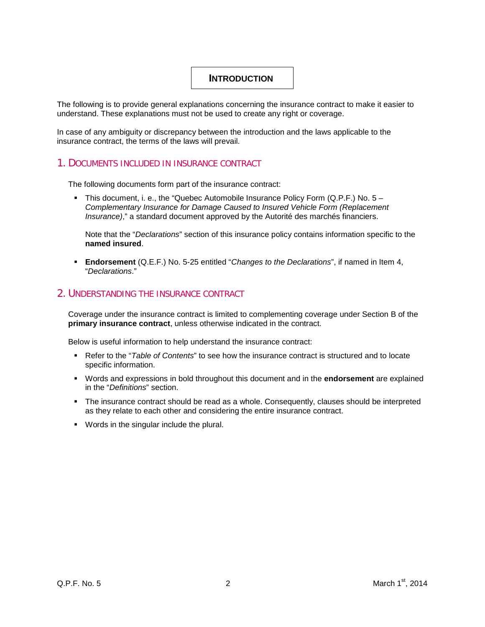## <span id="page-2-0"></span>**INTRODUCTION**

The following is to provide general explanations concerning the insurance contract to make it easier to understand. These explanations must not be used to create any right or coverage.

In case of any ambiguity or discrepancy between the introduction and the laws applicable to the insurance contract, the terms of the laws will prevail.

## <span id="page-2-1"></span>1. DOCUMENTS INCLUDED IN INSURANCE CONTRACT

The following documents form part of the insurance contract:

This document, i. e., the "Quebec Automobile Insurance Policy Form  $(Q.P.F.)$  No.  $5 -$ *Complementary Insurance for Damage Caused to Insured Vehicle Form (Replacement Insurance)*," a standard document approved by the Autorité des marchés financiers.

Note that the "*Declarations*" section of this insurance policy contains information specific to the **named insured**.

 **Endorsement** (Q.E.F.) No. 5-25 entitled "*Changes to the Declarations*", if named in Item 4, "*Declarations*."

## <span id="page-2-2"></span>2. UNDERSTANDING THE INSURANCE CONTRACT

Coverage under the insurance contract is limited to complementing coverage under Section B of the **primary insurance contract**, unless otherwise indicated in the contract.

Below is useful information to help understand the insurance contract:

- Refer to the "*Table of Contents*" to see how the insurance contract is structured and to locate specific information.
- Words and expressions in bold throughout this document and in the **endorsement** are explained in the "*Definitions*" section.
- The insurance contract should be read as a whole. Consequently, clauses should be interpreted as they relate to each other and considering the entire insurance contract.
- Words in the singular include the plural.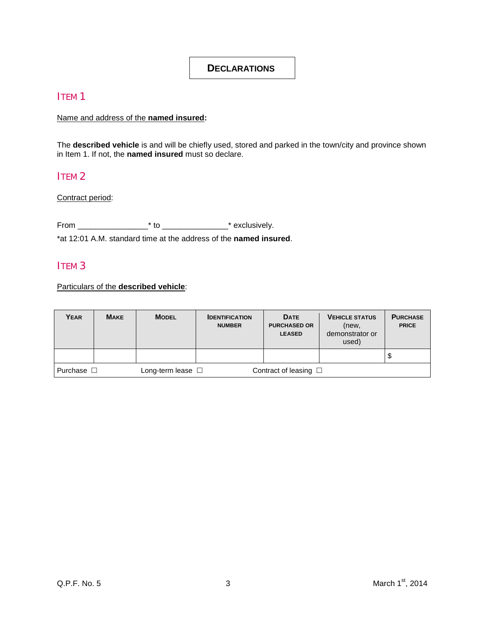## <span id="page-3-0"></span>**DECLARATIONS**

## ITEM 1

Name and address of the **named insured:**

The **described vehicle** is and will be chiefly used, stored and parked in the town/city and province shown in Item 1. If not, the **named insured** must so declare.

## ITEM<sub>2</sub>

Contract period:

From \_\_\_\_\_\_\_\_\_\_\_\_\_\_\_\_\* to \_\_\_\_\_\_\_\_\_\_\_\_\_\_\_\* exclusively.

\*at 12:01 A.M. standard time at the address of the **named insured**.

## ITEM 3

Particulars of the **described vehicle**:

| Year         | <b>MAKE</b> | <b>MODEL</b>              | <b>IDENTIFICATION</b><br><b>NUMBER</b> | <b>DATE</b><br><b>PURCHASED OR</b><br><b>LEASED</b> | <b>VEHICLE STATUS</b><br>(new,<br>demonstrator or<br>used) | <b>PURCHASE</b><br><b>PRICE</b> |
|--------------|-------------|---------------------------|----------------------------------------|-----------------------------------------------------|------------------------------------------------------------|---------------------------------|
|              |             |                           |                                        |                                                     |                                                            | Ψ                               |
| l Purchase □ |             | Long-term lease $\square$ |                                        | Contract of leasing $\Box$                          |                                                            |                                 |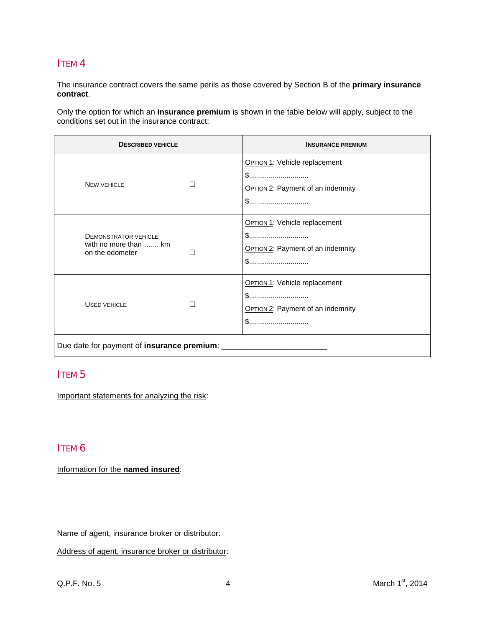## ITEM 4

The insurance contract covers the same perils as those covered by Section B of the **primary insurance contract**.

Only the option for which an **insurance premium** is shown in the table below will apply, subject to the conditions set out in the insurance contract:

| <b>DESCRIBED VEHICLE</b>                                                |   | <b>INSURANCE PREMIUM</b>                                                               |  |  |  |  |  |
|-------------------------------------------------------------------------|---|----------------------------------------------------------------------------------------|--|--|--|--|--|
| <b>NEW VEHICLE</b>                                                      | H | <b>OPTION 1: Vehicle replacement</b><br><b>OPTION 2: Payment of an indemnity</b><br>\$ |  |  |  |  |  |
| <b>DEMONSTRATOR VEHICLE</b><br>with no more than  km<br>on the odometer | П | <b>OPTION 1: Vehicle replacement</b><br><b>OPTION 2: Payment of an indemnity</b>       |  |  |  |  |  |
| <b>USED VEHICLE</b>                                                     |   | <b>OPTION 1: Vehicle replacement</b><br><b>OPTION 2: Payment of an indemnity</b><br>\$ |  |  |  |  |  |
| Due date for payment of insurance premium: __                           |   |                                                                                        |  |  |  |  |  |

## ITEM 5

Important statements for analyzing the risk:

## ITEM 6

Information for the **named insured**:

Name of agent, insurance broker or distributor:

Address of agent, insurance broker or distributor: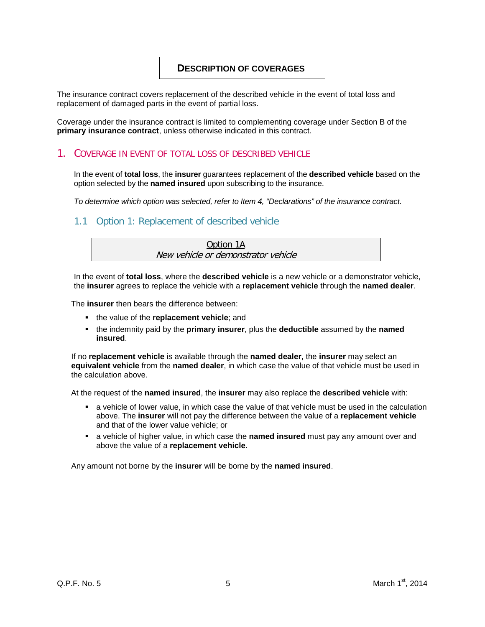## <span id="page-5-0"></span>**DESCRIPTION OF COVERAGES**

The insurance contract covers replacement of the described vehicle in the event of total loss and replacement of damaged parts in the event of partial loss.

Coverage under the insurance contract is limited to complementing coverage under Section B of the **primary insurance contract**, unless otherwise indicated in this contract.

#### <span id="page-5-1"></span>1. COVERAGE IN EVENT OF TOTAL LOSS OF DESCRIBED VEHICLE

In the event of **total loss**, the **insurer** guarantees replacement of the **described vehicle** based on the option selected by the **named insured** upon subscribing to the insurance.

*To determine which option was selected, refer to Item 4, "Declarations" of the insurance contract.*

## <span id="page-5-2"></span>1.1 Option 1: Replacement of described vehicle

| Option 1A                           |
|-------------------------------------|
| New vehicle or demonstrator vehicle |

In the event of **total loss**, where the **described vehicle** is a new vehicle or a demonstrator vehicle, the **insurer** agrees to replace the vehicle with a **replacement vehicle** through the **named dealer**.

The **insurer** then bears the difference between:

- **the value of the replacement vehicle; and**
- the indemnity paid by the **primary insurer**, plus the **deductible** assumed by the **named insured**.

If no **replacement vehicle** is available through the **named dealer,** the **insurer** may select an **equivalent vehicle** from the **named dealer**, in which case the value of that vehicle must be used in the calculation above.

At the request of the **named insured**, the **insurer** may also replace the **described vehicle** with:

- a vehicle of lower value, in which case the value of that vehicle must be used in the calculation above. The **insurer** will not pay the difference between the value of a **replacement vehicle** and that of the lower value vehicle; or
- **a** a vehicle of higher value, in which case the **named insured** must pay any amount over and above the value of a **replacement vehicle**.

Any amount not borne by the **insurer** will be borne by the **named insured**.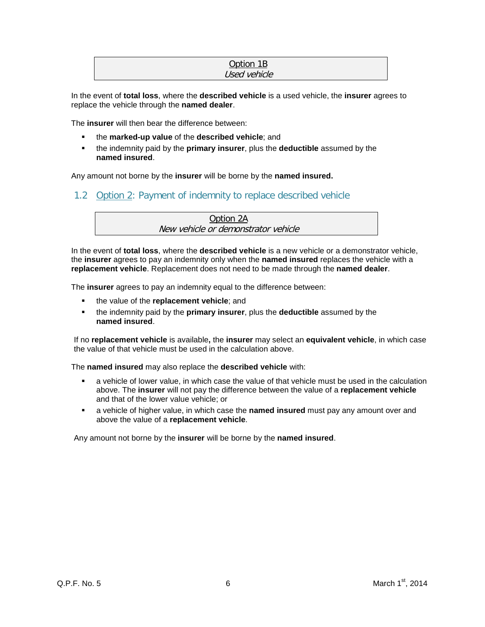#### Option 1B Used vehicle

In the event of **total loss**, where the **described vehicle** is a used vehicle, the **insurer** agrees to replace the vehicle through the **named dealer**.

The **insurer** will then bear the difference between:

- the **marked-up value** of the **described vehicle**; and
- the indemnity paid by the **primary insurer**, plus the **deductible** assumed by the **named insured**.

Any amount not borne by the **insurer** will be borne by the **named insured.**

<span id="page-6-0"></span>1.2 Option 2: Payment of indemnity to replace described vehicle

| Option 2A                           |  |
|-------------------------------------|--|
| New vehicle or demonstrator vehicle |  |

In the event of **total loss**, where the **described vehicle** is a new vehicle or a demonstrator vehicle, the **insurer** agrees to pay an indemnity only when the **named insured** replaces the vehicle with a **replacement vehicle**. Replacement does not need to be made through the **named dealer**.

The **insurer** agrees to pay an indemnity equal to the difference between:

- the value of the **replacement vehicle**; and
- the indemnity paid by the **primary insurer**, plus the **deductible** assumed by the **named insured**.

If no **replacement vehicle** is available**,** the **insurer** may select an **equivalent vehicle**, in which case the value of that vehicle must be used in the calculation above.

The **named insured** may also replace the **described vehicle** with:

- a vehicle of lower value, in which case the value of that vehicle must be used in the calculation above. The **insurer** will not pay the difference between the value of a **replacement vehicle** and that of the lower value vehicle; or
- a vehicle of higher value, in which case the **named insured** must pay any amount over and above the value of a **replacement vehicle**.

Any amount not borne by the **insurer** will be borne by the **named insured**.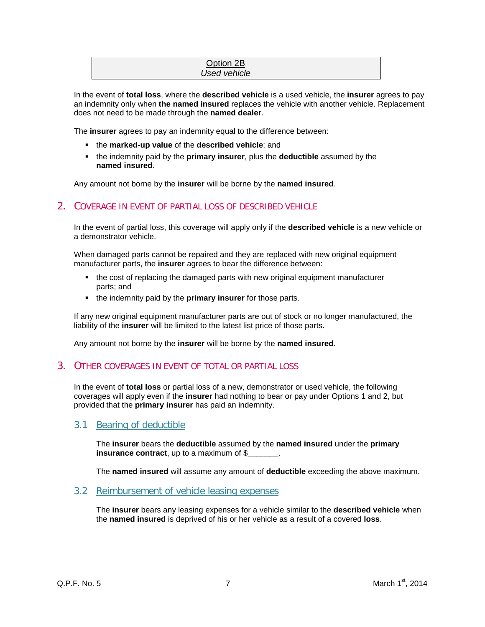#### Option 2B *Used vehicle*

In the event of **total loss**, where the **described vehicle** is a used vehicle, the **insurer** agrees to pay an indemnity only when **the named insured** replaces the vehicle with another vehicle. Replacement does not need to be made through the **named dealer**.

The **insurer** agrees to pay an indemnity equal to the difference between:

- the **marked-up value** of the **described vehicle**; and
- the indemnity paid by the **primary insurer**, plus the **deductible** assumed by the **named insured**.

Any amount not borne by the **insurer** will be borne by the **named insured**.

## <span id="page-7-0"></span>2. COVERAGE IN EVENT OF PARTIAL LOSS OF DESCRIBED VEHICLE

In the event of partial loss, this coverage will apply only if the **described vehicle** is a new vehicle or a demonstrator vehicle.

When damaged parts cannot be repaired and they are replaced with new original equipment manufacturer parts, the **insurer** agrees to bear the difference between:

- the cost of replacing the damaged parts with new original equipment manufacturer parts; and
- **the indemnity paid by the primary insurer** for those parts.

If any new original equipment manufacturer parts are out of stock or no longer manufactured, the liability of the **insurer** will be limited to the latest list price of those parts.

Any amount not borne by the **insurer** will be borne by the **named insured**.

### <span id="page-7-1"></span>3. OTHER COVERAGES IN EVENT OF TOTAL OR PARTIAL LOSS

In the event of **total loss** or partial loss of a new, demonstrator or used vehicle, the following coverages will apply even if the **insurer** had nothing to bear or pay under Options 1 and 2, but provided that the **primary insurer** has paid an indemnity.

## <span id="page-7-2"></span>3.1 Bearing of deductible

The **insurer** bears the **deductible** assumed by the **named insured** under the **primary insurance contract**, up to a maximum of \$\_\_\_\_\_\_\_.

The **named insured** will assume any amount of **deductible** exceeding the above maximum.

#### <span id="page-7-3"></span>3.2 Reimbursement of vehicle leasing expenses

The **insurer** bears any leasing expenses for a vehicle similar to the **described vehicle** when the **named insured** is deprived of his or her vehicle as a result of a covered **loss**.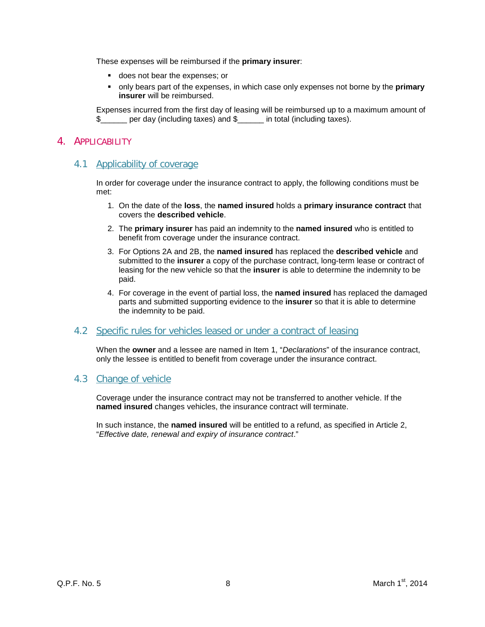These expenses will be reimbursed if the **primary insurer**:

- does not bear the expenses; or
- only bears part of the expenses, in which case only expenses not borne by the **primary insurer** will be reimbursed.

Expenses incurred from the first day of leasing will be reimbursed up to a maximum amount of \$ per day (including taxes) and \$

### <span id="page-8-0"></span>4. APPLICABILITY

## <span id="page-8-1"></span>4.1 Applicability of coverage

In order for coverage under the insurance contract to apply, the following conditions must be met:

- 1. On the date of the **loss**, the **named insured** holds a **primary insurance contract** that covers the **described vehicle**.
- 2. The **primary insurer** has paid an indemnity to the **named insured** who is entitled to benefit from coverage under the insurance contract.
- 3. For Options 2A and 2B, the **named insured** has replaced the **described vehicle** and submitted to the **insurer** a copy of the purchase contract, long-term lease or contract of leasing for the new vehicle so that the **insurer** is able to determine the indemnity to be paid.
- 4. For coverage in the event of partial loss, the **named insured** has replaced the damaged parts and submitted supporting evidence to the **insurer** so that it is able to determine the indemnity to be paid.

#### <span id="page-8-2"></span>4.2 Specific rules for vehicles leased or under a contract of leasing

When the **owner** and a lessee are named in Item 1, "*Declarations*" of the insurance contract, only the lessee is entitled to benefit from coverage under the insurance contract.

### <span id="page-8-3"></span>4.3 Change of vehicle

Coverage under the insurance contract may not be transferred to another vehicle. If the **named insured** changes vehicles, the insurance contract will terminate.

In such instance, the **named insured** will be entitled to a refund, as specified in Article 2, "*Effective date, renewal and expiry of insurance contract*."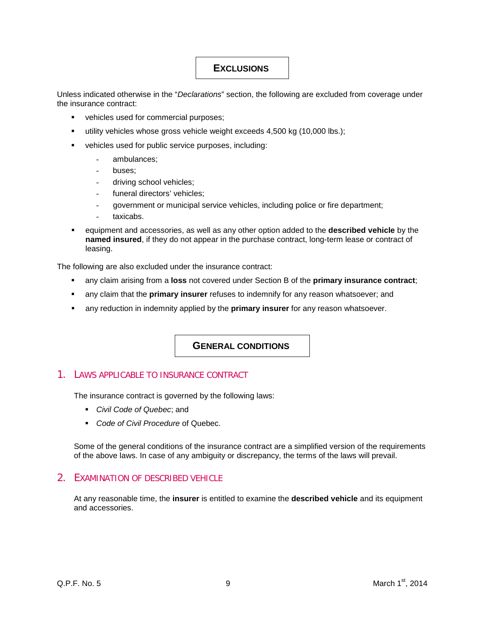## <span id="page-9-0"></span>**EXCLUSIONS**

Unless indicated otherwise in the "*Declarations*" section, the following are excluded from coverage under the insurance contract:

- **•** vehicles used for commercial purposes;
- utility vehicles whose gross vehicle weight exceeds 4,500 kg (10,000 lbs.);
- vehicles used for public service purposes, including:
	- ambulances;
	- buses;
	- driving school vehicles;
	- funeral directors' vehicles;
	- government or municipal service vehicles, including police or fire department;
	- taxicabs.
- equipment and accessories, as well as any other option added to the **described vehicle** by the **named insured**, if they do not appear in the purchase contract, long-term lease or contract of leasing.

The following are also excluded under the insurance contract:

- any claim arising from a **loss** not covered under Section B of the **primary insurance contract**;
- any claim that the **primary insurer** refuses to indemnify for any reason whatsoever; and
- any reduction in indemnity applied by the **primary insurer** for any reason whatsoever.

#### <span id="page-9-1"></span>**GENERAL CONDITIONS**

## <span id="page-9-2"></span>1. LAWS APPLICABLE TO INSURANCE CONTRACT

The insurance contract is governed by the following laws:

- *Civil Code of Quebec*; and
- *Code of Civil Procedure* of Quebec.

Some of the general conditions of the insurance contract are a simplified version of the requirements of the above laws. In case of any ambiguity or discrepancy, the terms of the laws will prevail.

#### <span id="page-9-3"></span>2. EXAMINATION OF DESCRIBED VEHICLE

At any reasonable time, the **insurer** is entitled to examine the **described vehicle** and its equipment and accessories.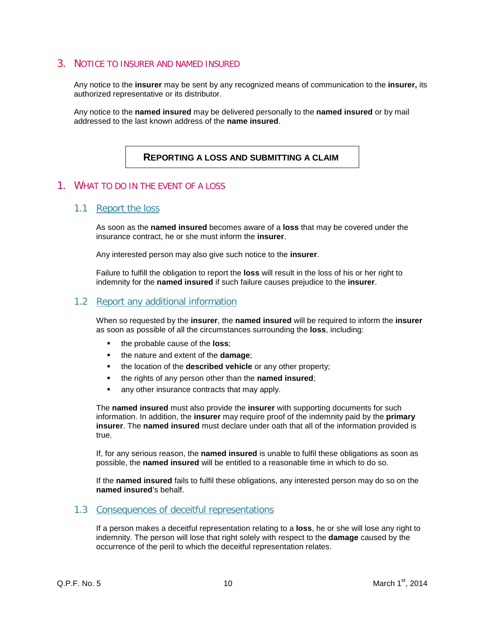### <span id="page-10-0"></span>3. NOTICE TO INSURER AND NAMED INSURED

Any notice to the **insurer** may be sent by any recognized means of communication to the **insurer,** its authorized representative or its distributor.

Any notice to the **named insured** may be delivered personally to the **named insured** or by mail addressed to the last known address of the **name insured**.

## <span id="page-10-1"></span>**REPORTING A LOSS AND SUBMITTING A CLAIM**

#### <span id="page-10-2"></span>1. WHAT TO DO IN THE EVENT OF A LOSS

#### <span id="page-10-3"></span>1.1 Report the loss

As soon as the **named insured** becomes aware of a **loss** that may be covered under the insurance contract, he or she must inform the **insurer**.

Any interested person may also give such notice to the **insurer**.

Failure to fulfill the obligation to report the **loss** will result in the loss of his or her right to indemnity for the **named insured** if such failure causes prejudice to the **insurer**.

#### <span id="page-10-4"></span>1.2 Report any additional information

When so requested by the **insurer**, the **named insured** will be required to inform the **insurer**  as soon as possible of all the circumstances surrounding the **loss**, including:

- the probable cause of the **loss**;
- **the nature and extent of the damage;**
- the location of the **described vehicle** or any other property;
- the rights of any person other than the **named insured**;
- any other insurance contracts that may apply.

The **named insured** must also provide the **insurer** with supporting documents for such information. In addition, the **insurer** may require proof of the indemnity paid by the **primary insurer**. The **named insured** must declare under oath that all of the information provided is true.

If, for any serious reason, the **named insured** is unable to fulfil these obligations as soon as possible, the **named insured** will be entitled to a reasonable time in which to do so.

If the **named insured** fails to fulfil these obligations, any interested person may do so on the **named insured**'s behalf.

#### <span id="page-10-5"></span>1.3 Consequences of deceitful representations

If a person makes a deceitful representation relating to a **loss**, he or she will lose any right to indemnity. The person will lose that right solely with respect to the **damage** caused by the occurrence of the peril to which the deceitful representation relates.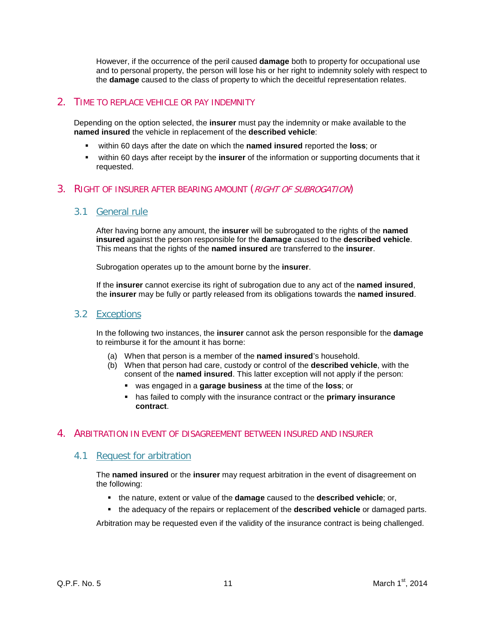However, if the occurrence of the peril caused **damage** both to property for occupational use and to personal property, the person will lose his or her right to indemnity solely with respect to the **damage** caused to the class of property to which the deceitful representation relates.

## <span id="page-11-0"></span>2. TIME TO REPLACE VEHICLE OR PAY INDEMNITY

Depending on the option selected, the **insurer** must pay the indemnity or make available to the **named insured** the vehicle in replacement of the **described vehicle**:

- within 60 days after the date on which the **named insured** reported the **loss**; or
- within 60 days after receipt by the **insurer** of the information or supporting documents that it requested.

## <span id="page-11-1"></span>3. RIGHT OF INSURER AFTER BEARING AMOUNT (RIGHT OF SUBROGATION)

### <span id="page-11-2"></span>3.1 General rule

After having borne any amount, the **insurer** will be subrogated to the rights of the **named insured** against the person responsible for the **damage** caused to the **described vehicle**. This means that the rights of the **named insured** are transferred to the **insurer**.

Subrogation operates up to the amount borne by the **insurer**.

If the **insurer** cannot exercise its right of subrogation due to any act of the **named insured**, the **insurer** may be fully or partly released from its obligations towards the **named insured**.

#### <span id="page-11-3"></span>3.2 Exceptions

In the following two instances, the **insurer** cannot ask the person responsible for the **damage** to reimburse it for the amount it has borne:

- (a) When that person is a member of the **named insured**'s household.
- (b) When that person had care, custody or control of the **described vehicle**, with the consent of the **named insured**. This latter exception will not apply if the person:
	- was engaged in a **garage business** at the time of the **loss**; or
	- has failed to comply with the insurance contract or the **primary insurance contract**.

#### <span id="page-11-4"></span>4. ARBITRATION IN EVENT OF DISAGREEMENT BETWEEN INSURED AND INSURER

## <span id="page-11-5"></span>4.1 Request for arbitration

The **named insured** or the **insurer** may request arbitration in the event of disagreement on the following:

- the nature, extent or value of the **damage** caused to the **described vehicle**; or,
- the adequacy of the repairs or replacement of the **described vehicle** or damaged parts.

Arbitration may be requested even if the validity of the insurance contract is being challenged.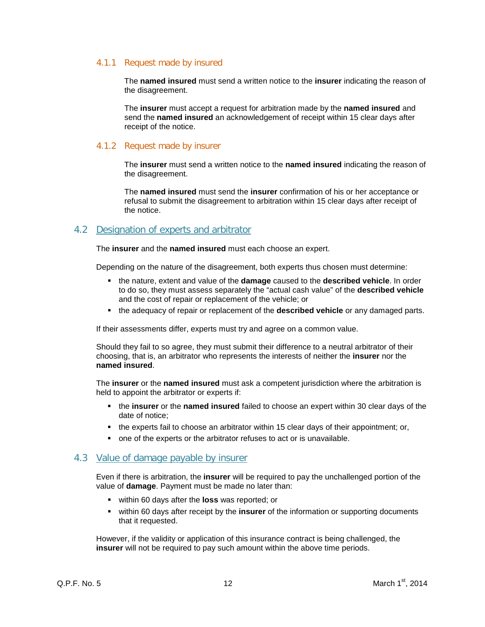#### 4.1.1 Request made by insured

The **named insured** must send a written notice to the **insurer** indicating the reason of the disagreement.

The **insurer** must accept a request for arbitration made by the **named insured** and send the **named insured** an acknowledgement of receipt within 15 clear days after receipt of the notice.

#### 4.1.2 Request made by insurer

The **insurer** must send a written notice to the **named insured** indicating the reason of the disagreement.

The **named insured** must send the **insurer** confirmation of his or her acceptance or refusal to submit the disagreement to arbitration within 15 clear days after receipt of the notice.

## <span id="page-12-0"></span>4.2 Designation of experts and arbitrator

The **insurer** and the **named insured** must each choose an expert.

Depending on the nature of the disagreement, both experts thus chosen must determine:

- the nature, extent and value of the **damage** caused to the **described vehicle**. In order to do so, they must assess separately the "actual cash value" of the **described vehicle** and the cost of repair or replacement of the vehicle; or
- the adequacy of repair or replacement of the **described vehicle** or any damaged parts.

If their assessments differ, experts must try and agree on a common value.

Should they fail to so agree, they must submit their difference to a neutral arbitrator of their choosing, that is, an arbitrator who represents the interests of neither the **insurer** nor the **named insured**.

The **insurer** or the **named insured** must ask a competent jurisdiction where the arbitration is held to appoint the arbitrator or experts if:

- the **insurer** or the **named insured** failed to choose an expert within 30 clear days of the date of notice;
- the experts fail to choose an arbitrator within 15 clear days of their appointment; or,
- one of the experts or the arbitrator refuses to act or is unavailable.

#### <span id="page-12-1"></span>4.3 Value of damage payable by insurer

Even if there is arbitration, the **insurer** will be required to pay the unchallenged portion of the value of **damage**. Payment must be made no later than:

- within 60 days after the **loss** was reported; or
- within 60 days after receipt by the **insurer** of the information or supporting documents that it requested.

However, if the validity or application of this insurance contract is being challenged, the **insurer** will not be required to pay such amount within the above time periods.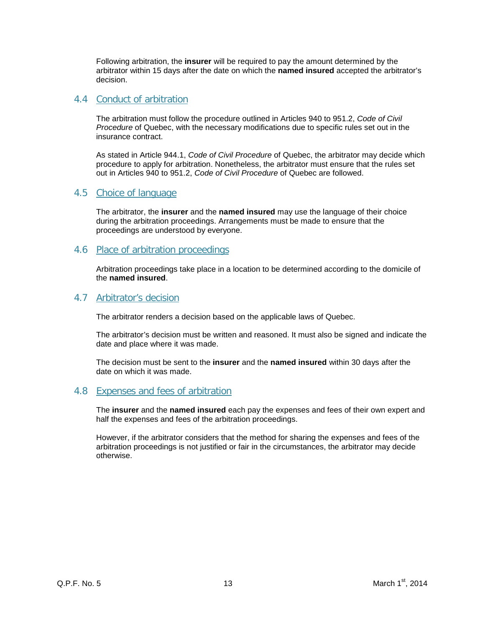Following arbitration, the **insurer** will be required to pay the amount determined by the arbitrator within 15 days after the date on which the **named insured** accepted the arbitrator's decision.

### <span id="page-13-0"></span>4.4 Conduct of arbitration

The arbitration must follow the procedure outlined in Articles 940 to 951.2, *Code of Civil Procedure* of Quebec, with the necessary modifications due to specific rules set out in the insurance contract.

As stated in Article 944.1, *Code of Civil Procedure* of Quebec, the arbitrator may decide which procedure to apply for arbitration. Nonetheless, the arbitrator must ensure that the rules set out in Articles 940 to 951.2, *Code of Civil Procedure* of Quebec are followed.

### <span id="page-13-1"></span>4.5 Choice of language

The arbitrator, the **insurer** and the **named insured** may use the language of their choice during the arbitration proceedings. Arrangements must be made to ensure that the proceedings are understood by everyone.

#### <span id="page-13-2"></span>4.6 Place of arbitration proceedings

Arbitration proceedings take place in a location to be determined according to the domicile of the **named insured**.

#### <span id="page-13-3"></span>4.7 Arbitrator's decision

The arbitrator renders a decision based on the applicable laws of Quebec.

The arbitrator's decision must be written and reasoned. It must also be signed and indicate the date and place where it was made.

The decision must be sent to the **insurer** and the **named insured** within 30 days after the date on which it was made.

#### <span id="page-13-4"></span>4.8 Expenses and fees of arbitration

The **insurer** and the **named insured** each pay the expenses and fees of their own expert and half the expenses and fees of the arbitration proceedings.

However, if the arbitrator considers that the method for sharing the expenses and fees of the arbitration proceedings is not justified or fair in the circumstances, the arbitrator may decide otherwise.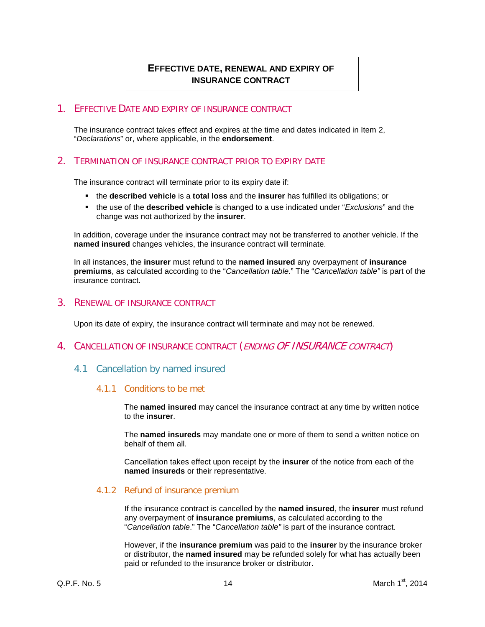## <span id="page-14-0"></span>**EFFECTIVE DATE, RENEWAL AND EXPIRY OF INSURANCE CONTRACT**

### <span id="page-14-1"></span>1. EFFECTIVE DATE AND EXPIRY OF INSURANCE CONTRACT

The insurance contract takes effect and expires at the time and dates indicated in Item 2, "*Declarations*" or, where applicable, in the **endorsement**.

## <span id="page-14-2"></span>2. TERMINATION OF INSURANCE CONTRACT PRIOR TO EXPIRY DATE

The insurance contract will terminate prior to its expiry date if:

- the **described vehicle** is a **total loss** and the **insurer** has fulfilled its obligations; or
- the use of the **described vehicle** is changed to a use indicated under "*Exclusions*" and the change was not authorized by the **insurer**.

In addition, coverage under the insurance contract may not be transferred to another vehicle. If the **named insured** changes vehicles, the insurance contract will terminate.

In all instances, the **insurer** must refund to the **named insured** any overpayment of **insurance premiums**, as calculated according to the "*Cancellation table*." The "*Cancellation table"* is part of the insurance contract.

#### <span id="page-14-3"></span>3. RENEWAL OF INSURANCE CONTRACT

Upon its date of expiry, the insurance contract will terminate and may not be renewed.

#### <span id="page-14-4"></span>4. CANCELLATION OF INSURANCE CONTRACT (ENDING OF INSURANCE CONTRACT)

#### <span id="page-14-5"></span>4.1 Cancellation by named insured

#### 4.1.1 Conditions to be met

The **named insured** may cancel the insurance contract at any time by written notice to the **insurer**.

The **named insureds** may mandate one or more of them to send a written notice on behalf of them all.

Cancellation takes effect upon receipt by the **insurer** of the notice from each of the **named insureds** or their representative.

#### 4.1.2 Refund of insurance premium

If the insurance contract is cancelled by the **named insured**, the **insurer** must refund any overpayment of **insurance premiums**, as calculated according to the "*Cancellation table*." The "*Cancellation table"* is part of the insurance contract.

However, if the **insurance premium** was paid to the **insurer** by the insurance broker or distributor, the **named insured** may be refunded solely for what has actually been paid or refunded to the insurance broker or distributor.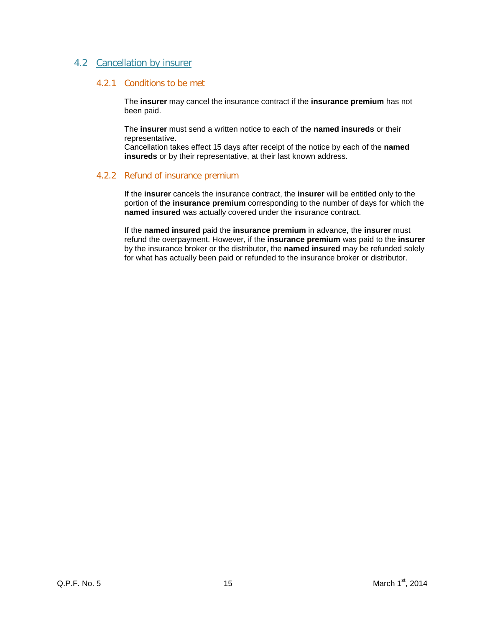### <span id="page-15-0"></span>4.2 Cancellation by insurer

#### 4.2.1 Conditions to be met

The **insurer** may cancel the insurance contract if the **insurance premium** has not been paid.

The **insurer** must send a written notice to each of the **named insureds** or their representative.

Cancellation takes effect 15 days after receipt of the notice by each of the **named insureds** or by their representative, at their last known address.

#### 4.2.2 Refund of insurance premium

If the **insurer** cancels the insurance contract, the **insurer** will be entitled only to the portion of the **insurance premium** corresponding to the number of days for which the **named insured** was actually covered under the insurance contract.

If the **named insured** paid the **insurance premium** in advance, the **insurer** must refund the overpayment. However, if the **insurance premium** was paid to the **insurer** by the insurance broker or the distributor, the **named insured** may be refunded solely for what has actually been paid or refunded to the insurance broker or distributor.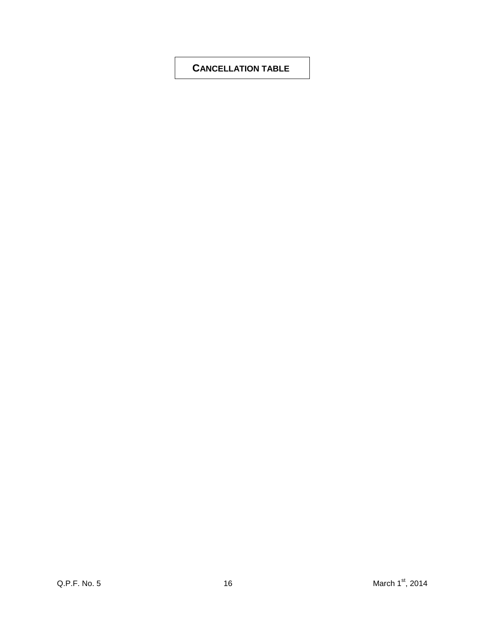## <span id="page-16-0"></span>**CANCELLATION TABLE**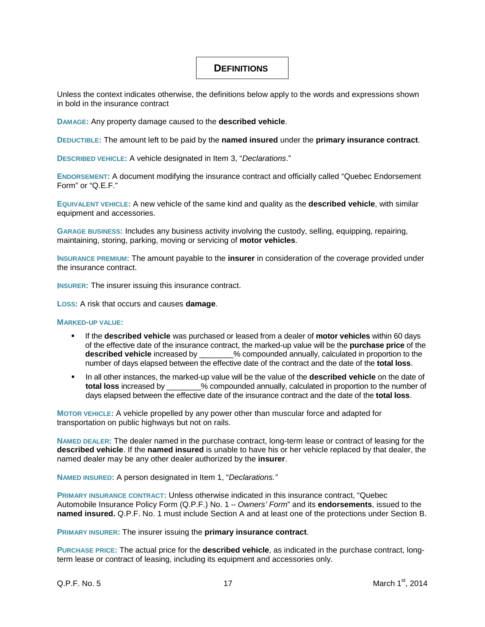## <span id="page-17-0"></span>**DEFINITIONS**

Unless the context indicates otherwise, the definitions below apply to the words and expressions shown in bold in the insurance contract

**DAMAGE:** Any property damage caused to the **described vehicle**.

**DEDUCTIBLE:** The amount left to be paid by the **named insured** under the **primary insurance contract**.

**DESCRIBED VEHICLE:** A vehicle designated in Item 3, "*Declarations*."

**ENDORSEMENT:** A document modifying the insurance contract and officially called "Quebec Endorsement Form" or "Q.E.F."

**EQUIVALENT VEHICLE:** A new vehicle of the same kind and quality as the **described vehicle**, with similar equipment and accessories.

**GARAGE BUSINESS:** Includes any business activity involving the custody, selling, equipping, repairing, maintaining, storing, parking, moving or servicing of **motor vehicles**.

**INSURANCE PREMIUM:** The amount payable to the **insurer** in consideration of the coverage provided under the insurance contract.

**INSURER:** The insurer issuing this insurance contract.

**LOSS:** A risk that occurs and causes **damage**.

#### **MARKED-UP VALUE:**

- If the **described vehicle** was purchased or leased from a dealer of **motor vehicles** within 60 days of the effective date of the insurance contract, the marked-up value will be the **purchase price** of the % compounded annually, calculated in proportion to the number of days elapsed between the effective date of the contract and the date of the **total loss**.
- **IDED** In all other instances, the marked-up value will be the value of the **described vehicle** on the date of **total loss** increased by \_\_\_\_\_\_\_\_% compounded annually, calculated in proportion to the number of days elapsed between the effective date of the insurance contract and the date of the **total loss**.

**MOTOR VEHICLE:** A vehicle propelled by any power other than muscular force and adapted for transportation on public highways but not on rails.

**NAMED DEALER:** The dealer named in the purchase contract, long-term lease or contract of leasing for the **described vehicle**. If the **named insured** is unable to have his or her vehicle replaced by that dealer, the named dealer may be any other dealer authorized by the **insurer**.

**NAMED INSURED:** A person designated in Item 1, "*Declarations."*

**PRIMARY INSURANCE CONTRACT:** Unless otherwise indicated in this insurance contract, "Quebec Automobile Insurance Policy Form (Q.P.F.) No. 1 – *Owners' Form*" and its **endorsements**, issued to the **named insured.** Q.P.F. No. 1 must include Section A and at least one of the protections under Section B.

**PRIMARY INSURER:** The insurer issuing the **primary insurance contract**.

**PURCHASE PRICE:** The actual price for the **described vehicle**, as indicated in the purchase contract, longterm lease or contract of leasing, including its equipment and accessories only.